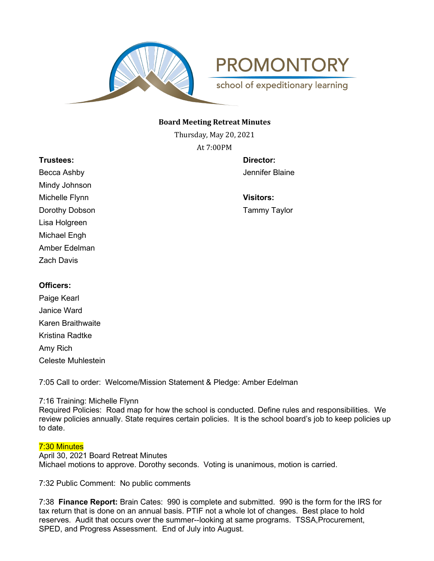

**PROMONTORY** 

school of expeditionary learning

## **Board Meeting Retreat Minutes**

Thursday, May 20, 2021 At 7:00PM

**Trustees: Director:** Becca Ashby Jennifer Blaine Mindy Johnson Michelle Flynn **Visitors:** Dorothy Dobson **Tammy Taylor** Lisa Holgreen Michael Engh Amber Edelman Zach Davis

# **Officers:**

Paige Kearl Janice Ward Karen Braithwaite Kristina Radtke Amy Rich Celeste Muhlestein

7:05 Call to order: Welcome/Mission Statement & Pledge: Amber Edelman

# 7:16 Training: Michelle Flynn

Required Policies: Road map for how the school is conducted. Define rules and responsibilities. We review policies annually. State requires certain policies. It is the school board's job to keep policies up to date.

# 7:30 Minutes

April 30, 2021 Board Retreat Minutes Michael motions to approve. Dorothy seconds. Voting is unanimous, motion is carried.

7:32 Public Comment: No public comments

7:38 **Finance Report:** Brain Cates: 990 is complete and submitted. 990 is the form for the IRS for tax return that is done on an annual basis. PTIF not a whole lot of changes. Best place to hold reserves. Audit that occurs over the summer--looking at same programs. TSSA,Procurement, SPED, and Progress Assessment. End of July into August.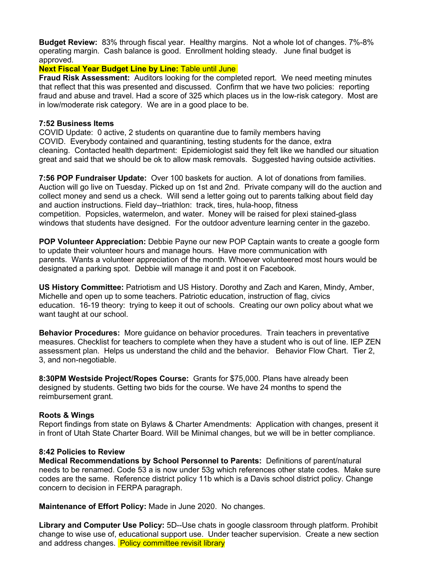**Budget Review:** 83% through fiscal year. Healthy margins. Not a whole lot of changes. 7%-8% operating margin. Cash balance is good. Enrollment holding steady. June final budget is approved.

# **Next Fiscal Year Budget Line by Line: Table until June**

**Fraud Risk Assessment:** Auditors looking for the completed report. We need meeting minutes that reflect that this was presented and discussed. Confirm that we have two policies: reporting fraud and abuse and travel. Had a score of 325 which places us in the low-risk category. Most are in low/moderate risk category. We are in a good place to be.

## **7:52 Business Items**

COVID Update: 0 active, 2 students on quarantine due to family members having COVID. Everybody contained and quarantining, testing students for the dance, extra cleaning. Contacted health department: Epidemiologist said they felt like we handled our situation great and said that we should be ok to allow mask removals. Suggested having outside activities.

**7:56 POP Fundraiser Update:** Over 100 baskets for auction. A lot of donations from families. Auction will go live on Tuesday. Picked up on 1st and 2nd. Private company will do the auction and collect money and send us a check. Will send a letter going out to parents talking about field day and auction instructions. Field day--triathlon: track, tires, hula-hoop, fitness competition. Popsicles, watermelon, and water. Money will be raised for plexi stained-glass windows that students have designed. For the outdoor adventure learning center in the gazebo.

**POP Volunteer Appreciation:** Debbie Payne our new POP Captain wants to create a google form to update their volunteer hours and manage hours. Have more communication with parents. Wants a volunteer appreciation of the month. Whoever volunteered most hours would be designated a parking spot. Debbie will manage it and post it on Facebook.

**US History Committee:** Patriotism and US History. Dorothy and Zach and Karen, Mindy, Amber, Michelle and open up to some teachers. Patriotic education, instruction of flag, civics education. 16-19 theory: trying to keep it out of schools. Creating our own policy about what we want taught at our school.

**Behavior Procedures:** More guidance on behavior procedures. Train teachers in preventative measures. Checklist for teachers to complete when they have a student who is out of line. IEP ZEN assessment plan. Helps us understand the child and the behavior. Behavior Flow Chart. Tier 2, 3, and non-negotiable.

**8:30PM Westside Project/Ropes Course:** Grants for \$75,000. Plans have already been designed by students. Getting two bids for the course. We have 24 months to spend the reimbursement grant.

# **Roots & Wings**

Report findings from state on Bylaws & Charter Amendments: Application with changes, present it in front of Utah State Charter Board. Will be Minimal changes, but we will be in better compliance.

### **8:42 Policies to Review**

**Medical Recommendations by School Personnel to Parents:** Definitions of parent/natural needs to be renamed. Code 53 a is now under 53g which references other state codes. Make sure codes are the same. Reference district policy 11b which is a Davis school district policy. Change concern to decision in FERPA paragraph.

**Maintenance of Effort Policy:** Made in June 2020. No changes.

**Library and Computer Use Policy:** 5D--Use chats in google classroom through platform. Prohibit change to wise use of, educational support use. Under teacher supervision. Create a new section and address changes. Policy committee revisit library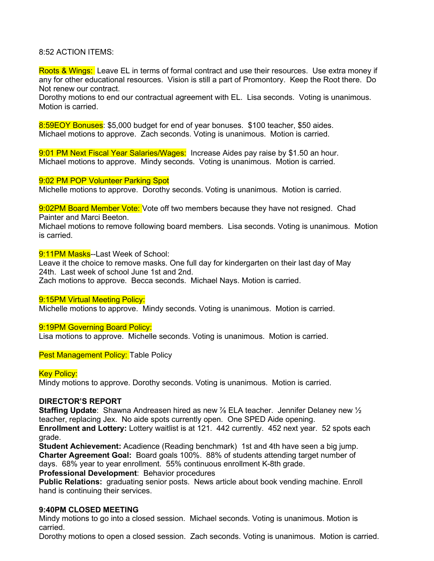## 8:52 ACTION ITEMS:

Roots & Wings: Leave EL in terms of formal contract and use their resources. Use extra money if any for other educational resources. Vision is still a part of Promontory. Keep the Root there. Do Not renew our contract.

Dorothy motions to end our contractual agreement with EL. Lisa seconds. Voting is unanimous. Motion is carried.

8:59EOY Bonuses: \$5,000 budget for end of year bonuses. \$100 teacher, \$50 aides. Michael motions to approve. Zach seconds. Voting is unanimous. Motion is carried.

9:01 PM Next Fiscal Year Salaries/Wages: Increase Aides pay raise by \$1.50 an hour. Michael motions to approve. Mindy seconds. Voting is unanimous. Motion is carried.

9:02 PM POP Volunteer Parking Spot

Michelle motions to approve. Dorothy seconds. Voting is unanimous. Motion is carried.

9:02PM Board Member Vote: Vote off two members because they have not resigned. Chad Painter and Marci Beeton.

Michael motions to remove following board members. Lisa seconds. Voting is unanimous. Motion is carried.

9:11PM Masks--Last Week of School:

Leave it the choice to remove masks. One full day for kindergarten on their last day of May 24th. Last week of school June 1st and 2nd.

Zach motions to approve. Becca seconds. Michael Nays. Motion is carried.

#### 9:15PM Virtual Meeting Policy:

Michelle motions to approve. Mindy seconds. Voting is unanimous. Motion is carried.

#### 9:19PM Governing Board Policy:

Lisa motions to approve. Michelle seconds. Voting is unanimous. Motion is carried.

**Pest Management Policy: Table Policy** 

### **Key Policy:**

Mindy motions to approve. Dorothy seconds. Voting is unanimous. Motion is carried.

## **DIRECTOR'S REPORT**

**Staffing Update**: Shawna Andreasen hired as new ⅞ ELA teacher. Jennifer Delaney new ½ teacher, replacing Jex. No aide spots currently open. One SPED Aide opening.

**Enrollment and Lottery:** Lottery waitlist is at 121. 442 currently. 452 next year. 52 spots each grade.

**Student Achievement:** Acadience (Reading benchmark) 1st and 4th have seen a big jump. **Charter Agreement Goal:** Board goals 100%. 88% of students attending target number of days. 68% year to year enrollment. 55% continuous enrollment K-8th grade.

**Professional Development**: Behavior procedures

**Public Relations:** graduating senior posts. News article about book vending machine. Enroll hand is continuing their services.

### **9:40PM CLOSED MEETING**

Mindy motions to go into a closed session. Michael seconds. Voting is unanimous. Motion is carried.

Dorothy motions to open a closed session. Zach seconds. Voting is unanimous. Motion is carried.